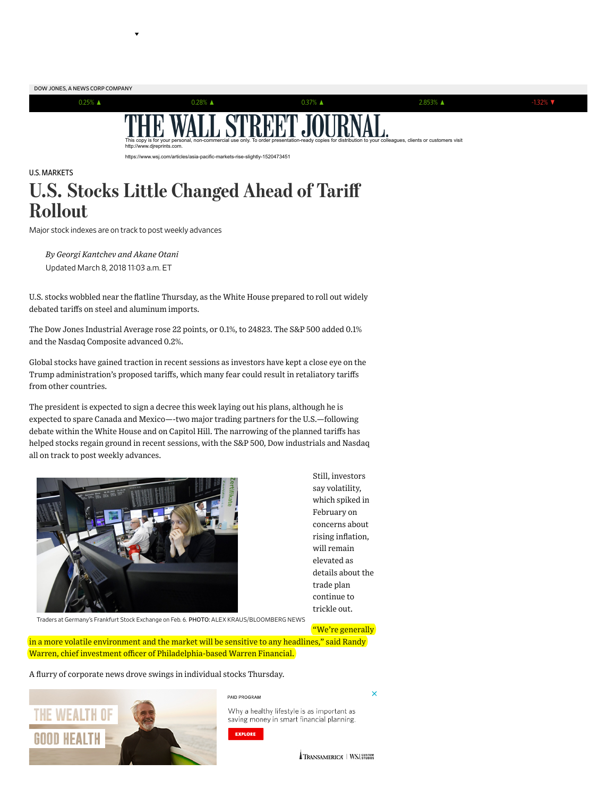

## U.S. [MARKETS](https://www.wsj.com/news/types/today-s-markets) U.S. Stocks Little Changed Ahead of Tariff Rollout

Major stock indexes are on track to post weekly advances

Updated March 8, 2018 11:03 a.m. ET *By Georgi Kantchev and Akane Otani*

U.S. stocks wobbled near the flatline Thursday, as the White House prepared to roll out widely debated tariffs on steel and aluminum imports.

The Dow Jones Industrial Average rose 22 points, or 0.1%, to 24823. The S&P 500 added 0.1% and the Nasdaq Composite advanced 0.2%.

Global stocks have gained traction in recent sessions as investors have kept a close eye on the Trump [administration's](https://www.wsj.com/articles/trump-tariff-plan-challenges-trade-system-u-s-helped-build-1520505002) proposed tariffs, which many fear could result in retaliatory tariffs from other countries.

The president is expected to sign a [decree](https://www.wsj.com/articles/trump-to-meet-metal-workers-as-aides-ready-tariff-rollout-1520517821) this week laying out his plans, although he is expected to spare Canada and Mexico—-two major trading partners for the U.S.—following debate within the White House and on Capitol Hill. The narrowing of the planned tariffs has helped stocks regain ground in recent sessions, with the S&P 500, Dow industrials and Nasdaq all on track to post weekly advances.



Still, investors say volatility, which spiked in February on concerns about rising inflation, will remain elevated as details about the trade plan continue to trickle out.

Traders at Germany's Frankfurt Stock Exchange on Feb. 6. PHOTO: ALEX KRAUS/BLOOMBERG NEWS

"We're generally

 $\overline{\mathsf{x}}$ 

in a more volatile environment and the market will be sensitive to any headlines," said Randy Warren, chief investment officer of Philadelphia-based Warren Financial.

A flurry of corporate news drove swings in individual stocks Thursday.



PAID PROGRAM

Why a healthy lifestyle is as important as saving money in smart financial planning.

EXPLORE

TRANSAMERICA | WSJ. STUDIOS